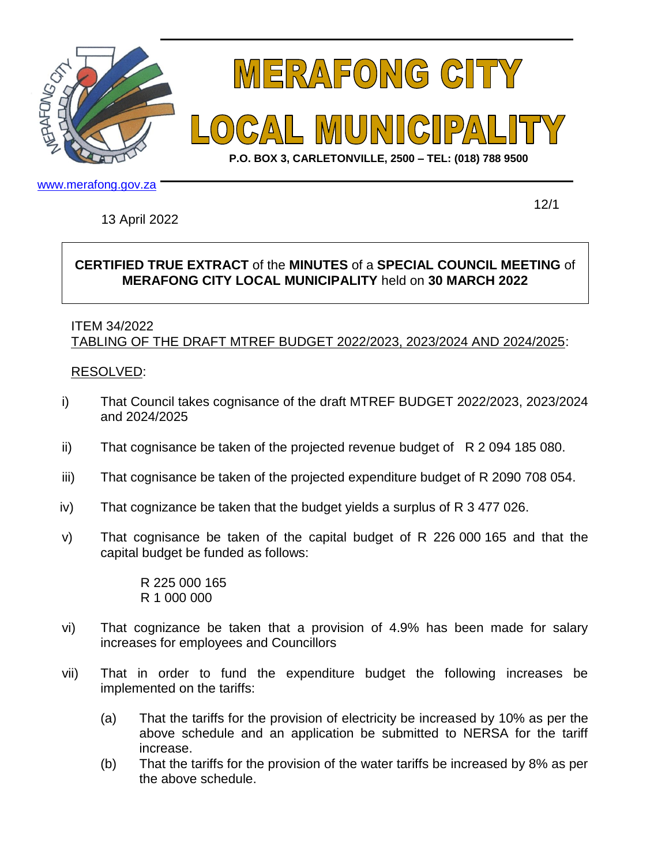



**P.O. BOX 3, CARLETONVILLE, 2500 – TEL: (018) 788 9500**

www.merafong.gov.za

13 April 2022

12/1

## **CERTIFIED TRUE EXTRACT** of the **MINUTES** of a **SPECIAL COUNCIL MEETING** of **MERAFONG CITY LOCAL MUNICIPALITY** held on **30 MARCH 2022**

## ITEM 34/2022 TABLING OF THE DRAFT MTREF BUDGET 2022/2023, 2023/2024 AND 2024/2025:

## RESOLVED:

- i) That Council takes cognisance of the draft MTREF BUDGET 2022/2023, 2023/2024 and 2024/2025
- ii) That cognisance be taken of the projected revenue budget of R 2 094 185 080.
- iii) That cognisance be taken of the projected expenditure budget of R 2090 708 054.
- iv) That cognizance be taken that the budget yields a surplus of R 3 477 026.
- v) That cognisance be taken of the capital budget of R 226 000 165 and that the capital budget be funded as follows:

R 225 000 165 R 1 000 000

- vi) That cognizance be taken that a provision of 4.9% has been made for salary increases for employees and Councillors
- vii) That in order to fund the expenditure budget the following increases be implemented on the tariffs:
	- (a) That the tariffs for the provision of electricity be increased by 10% as per the above schedule and an application be submitted to NERSA for the tariff increase.
	- (b) That the tariffs for the provision of the water tariffs be increased by 8% as per the above schedule.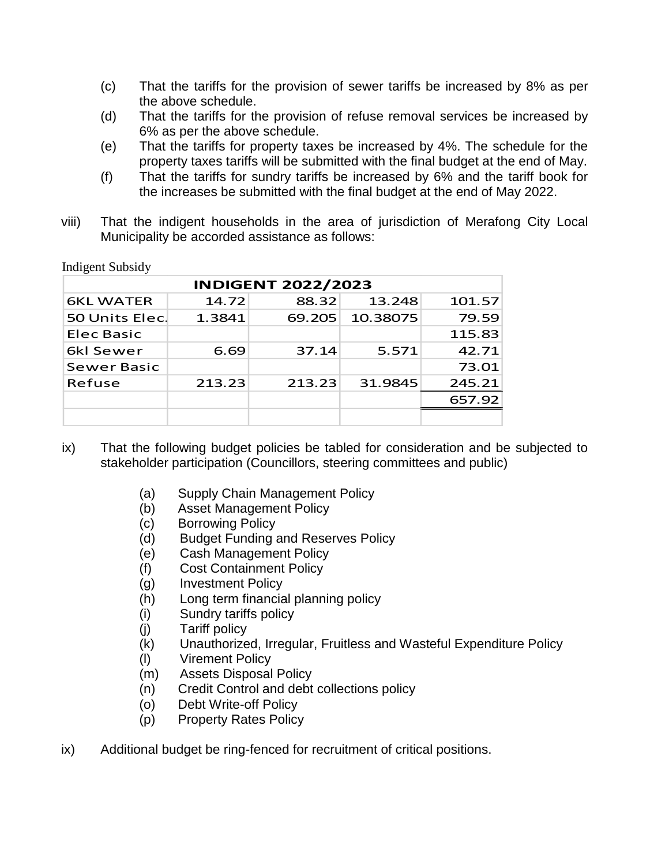- (c) That the tariffs for the provision of sewer tariffs be increased by 8% as per the above schedule.
- (d) That the tariffs for the provision of refuse removal services be increased by 6% as per the above schedule.
- (e) That the tariffs for property taxes be increased by 4%. The schedule for the property taxes tariffs will be submitted with the final budget at the end of May.
- (f) That the tariffs for sundry tariffs be increased by 6% and the tariff book for the increases be submitted with the final budget at the end of May 2022.
- viii) That the indigent households in the area of jurisdiction of Merafong City Local Municipality be accorded assistance as follows:

| <b>INDIGENT 2022/2023</b> |        |        |          |        |
|---------------------------|--------|--------|----------|--------|
| <b>6KL WATER</b>          | 14.72  | 88.32  | 13.248   | 101.57 |
| 50 Units Elec.            | 1.3841 | 69.205 | 10.38075 | 79.59  |
| Elec Basic                |        |        |          | 115.83 |
| 6kl Sewer                 | 6.69   | 37.14  | 5.571    | 42.71  |
| <b>Sewer Basic</b>        |        |        |          | 73.01  |
| Refuse                    | 213.23 | 213.23 | 31.9845  | 245.21 |
|                           |        |        |          | 657.92 |
|                           |        |        |          |        |

Indigent Subsidy

- ix) That the following budget policies be tabled for consideration and be subjected to stakeholder participation (Councillors, steering committees and public)
	- (a) Supply Chain Management Policy
	- (b) Asset Management Policy
	- (c) Borrowing Policy
	- (d) Budget Funding and Reserves Policy
	- (e) Cash Management Policy
	- (f) Cost Containment Policy
	- (g) Investment Policy
	- (h) Long term financial planning policy
	- (i) Sundry tariffs policy
	- (j) Tariff policy
	- (k) Unauthorized, Irregular, Fruitless and Wasteful Expenditure Policy
	- (l) Virement Policy
	- (m) Assets Disposal Policy
	- (n) Credit Control and debt collections policy
	- (o) Debt Write-off Policy
	- (p) Property Rates Policy
- ix) Additional budget be ring-fenced for recruitment of critical positions.